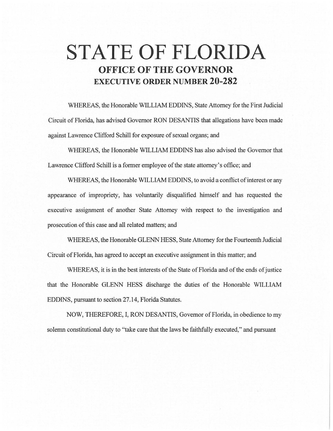# **STATE OF FLORIDA OFFICE OF THE GOVERNOR EXECUTIVE ORDER NUMBER 20-282**

WHEREAS, the Honorable WILLIAM EDDINS, State Attorney for the First Judicial Circuit of Florida, has advised Governor RON DESANTIS that allegations have been made against Lawrence Clifford Schill for exposure of sexual organs; and

WHEREAS, the Honorable WILLIAM EDDINS has also advised the Governor that Lawrence Clifford Schill is a former employee of the state attorney's office; and

WHEREAS, the Honorable WILLIAM EDDINS, to avoid a conflict of interest or any appearance of impropriety, has voluntarily disqualified himself and has requested the executive assignment of another State Attorney with respect to the investigation and prosecution of this case and all related matters; and

WHEREAS, the Honorable GLENN HESS, State Attorney for the Fourteenth Judicial Circuit of Florida, has agreed to accept an executive assignment in this matter; and

WHEREAS, it is in the best interests of the State of Florida and of the ends of justice that the Honorable GLENN HESS discharge the duties of the Honorable WILLIAM EDDINS, pursuant to section 27.14, Florida Statutes.

NOW, THEREFORE, I, RON DESANTIS, Governor of Florida, in obedience to my solemn constitutional duty to "take care that the laws be faithfully executed," and pursuant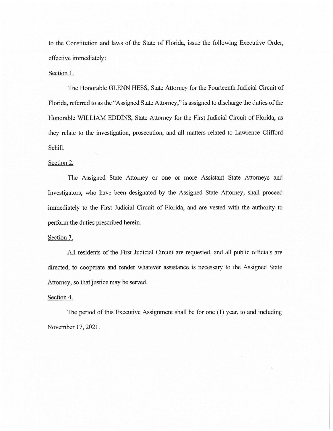to the Constitution and laws of the State of Florida, issue the following Executive Order, effective immediately:

## Section 1.

The Honorable GLENN HESS, State Attorney for the Fourteenth Judicial Circuit of Florida, referred to as the "Assigned State Attorney," is assigned to discharge the duties of the Honorable WILLIAM EDDINS, State Attorney for the First Judicial Circuit of Florida, as they relate to the investigation, prosecution, and all matters related to Lawrence Clifford Schill.

## Section 2.

The Assigned State Attorney or one or more Assistant State Attorneys and Investigators, who have been designated by the Assigned State Attorney, shall proceed immediately to the First Judicial Circuit of Florida, and are vested with the authority to perform the duties prescribed herein.

## Section 3.

All residents of the First Judicial Circuit are requested, and all public officials are directed, to cooperate and render whatever assistance is necessary to the Assigned State Attorney, so that justice may be served.

## Section 4.

The period of this Executive Assignment shall be for one (1) year, to and including November 17, 2021.